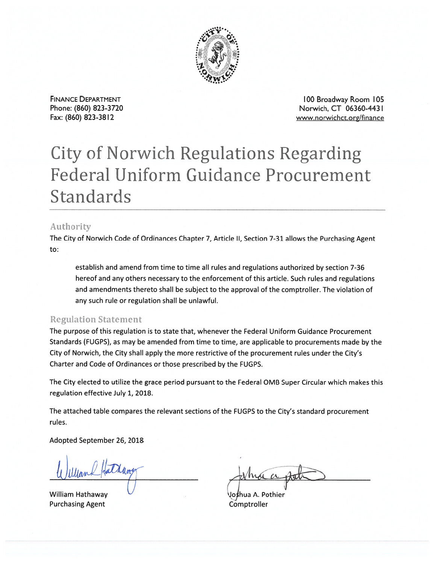

**FINANCE DEPARTMENT** Phone: (860) 823-3720 Fax: (860) 823-3812

100 Broadway Room 105 Norwich, CT 06360-4431 www.norwichct.org/finance

## **City of Norwich Regulations Regarding Federal Uniform Guidance Procurement** Standards

## Authority

The City of Norwich Code of Ordinances Chapter 7, Article II, Section 7-31 allows the Purchasing Agent to:

establish and amend from time to time all rules and regulations authorized by section 7-36 hereof and any others necessary to the enforcement of this article. Such rules and regulations and amendments thereto shall be subject to the approval of the comptroller. The violation of any such rule or regulation shall be unlawful.

## **Regulation Statement**

The purpose of this regulation is to state that, whenever the Federal Uniform Guidance Procurement Standards (FUGPS), as may be amended from time to time, are applicable to procurements made by the City of Norwich, the City shall apply the more restrictive of the procurement rules under the City's Charter and Code of Ordinances or those prescribed by the FUGPS.

The City elected to utilize the grace period pursuant to the Federal OMB Super Circular which makes this regulation effective July 1, 2018.

The attached table compares the relevant sections of the FUGPS to the City's standard procurement rules.

Adopted September 26, 2018

**William Hathaway Purchasing Agent** 

Joshua A. Pothier Comptroller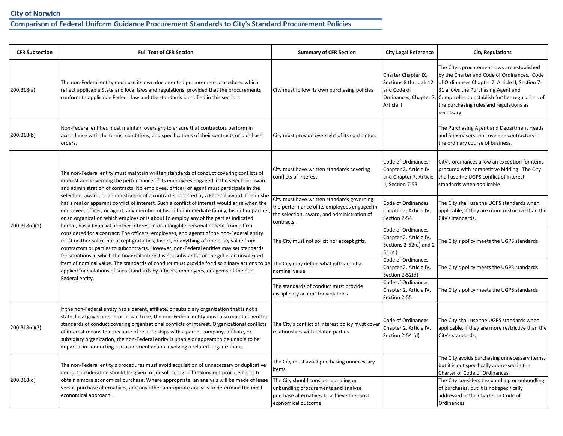## **Comparison of Federal Uniform Guidance Procurement Standards to City's Standard Procurement Policies**

| <b>CFR Subsection</b> | <b>Full Text of CFR Section</b>                                                                                                                                                                                                                                                                                                                                                                                                                                                                                                                                 | <b>Summary of CFR Section</b>                                                                                                                          | <b>City Legal Reference</b>                                                                                                                    | <b>City Regulations</b>                                                                                                                                                                                                                                                                                                |
|-----------------------|-----------------------------------------------------------------------------------------------------------------------------------------------------------------------------------------------------------------------------------------------------------------------------------------------------------------------------------------------------------------------------------------------------------------------------------------------------------------------------------------------------------------------------------------------------------------|--------------------------------------------------------------------------------------------------------------------------------------------------------|------------------------------------------------------------------------------------------------------------------------------------------------|------------------------------------------------------------------------------------------------------------------------------------------------------------------------------------------------------------------------------------------------------------------------------------------------------------------------|
| 200.318(a)            | The non-Federal entity must use its own documented procurement procedures which<br>reflect applicable State and local laws and regulations, provided that the procurements<br>conform to applicable Federal law and the standards identified in this section.                                                                                                                                                                                                                                                                                                   | City must follow its own purchasing policies                                                                                                           | Charter Chapter IX,<br>Sections 8 through 12<br>and Code of<br>Article II                                                                      | The City's procurement laws are established<br>by the Charter and Code of Ordinances. Code<br>of Ordinances Chapter 7, Article II, Section 7-<br>31 allows the Purchasing Agent and<br>Ordinances, Chapter 7, Comptroller to establish further regulations of<br>the purchasing rules and regulations as<br>necessary. |
| 200.318(b)            | Non-Federal entities must maintain oversight to ensure that contractors perform in<br>accordance with the terms, conditions, and specifications of their contracts or purchase<br>orders.                                                                                                                                                                                                                                                                                                                                                                       | City must provide oversight of its contractors                                                                                                         |                                                                                                                                                | The Purchasing Agent and Department Heads<br>and Supervisors shall oversee contractors in<br>the ordinary course of business.                                                                                                                                                                                          |
| 200.318(c)(1)         | The non-Federal entity must maintain written standards of conduct covering conflicts of<br>interest and governing the performance of its employees engaged in the selection, award<br>and administration of contracts. No employee, officer, or agent must participate in the                                                                                                                                                                                                                                                                                   | City must have written standards covering<br>conflicts of interest                                                                                     | Code of Ordinances:<br>Chapter 2, Article IV<br>and Chapter 7, Article<br>II, Section 7-53                                                     | City's ordinances allow an exception for items<br>procured with competitive bidding. The City<br>shall use the UGPS conflict of interest<br>standards when applicable                                                                                                                                                  |
|                       | selection, award, or administration of a contract supported by a Federal award if he or she<br>has a real or apparent conflict of interest. Such a conflict of interest would arise when the<br>employee, officer, or agent, any member of his or her immediate family, his or her partner<br>or an organization which employs or is about to employ any of the parties indicated                                                                                                                                                                               | City must have written standards governing<br>the performance of its employees engaged in<br>the selection, award, and administration of<br>contracts. | Code of Ordinances<br>Chapter 2, Article IV,<br>Section 2-54                                                                                   | The City shall use the UGPS standards when<br>applicable, if they are more restrictive than the<br>City's standards.                                                                                                                                                                                                   |
|                       | herein, has a financial or other interest in or a tangible personal benefit from a firm<br>considered for a contract. The officers, employees, and agents of the non-Federal entity<br>must neither solicit nor accept gratuities, favors, or anything of monetary value from<br>contractors or parties to subcontracts. However, non-Federal entities may set standards                                                                                                                                                                                        | The City must not solicit nor accept gifts.<br>54 $(c)$                                                                                                | Code of Ordinances<br>Chapter 2, Article IV,<br>Sections 2-52(d) and 2-                                                                        | The City's policy meets the UGPS standards                                                                                                                                                                                                                                                                             |
|                       | for situations in which the financial interest is not substantial or the gift is an unsolicited<br>item of nominal value. The standards of conduct must provide for disciplinary actions to be The City may define what gifts are of a<br>applied for violations of such standards by officers, employees, or agents of the non-                                                                                                                                                                                                                                | nominal value                                                                                                                                          | Code of Ordinances<br>Chapter 2, Article IV,<br>Section 2-52(d)                                                                                | The City's policy meets the UGPS standards                                                                                                                                                                                                                                                                             |
|                       | Federal entity.                                                                                                                                                                                                                                                                                                                                                                                                                                                                                                                                                 | The standards of conduct must provide<br>disciplinary actions for violations                                                                           | Code of Ordinances<br>Chapter 2, Article IV,<br>The City's policy meets the UGPS standards<br>Section 2-55                                     |                                                                                                                                                                                                                                                                                                                        |
| 200.318(c)(2)         | If the non-Federal entity has a parent, affiliate, or subsidiary organization that is not a<br>state, local government, or Indian tribe, the non-Federal entity must also maintain written<br>standards of conduct covering organizational conflicts of interest. Organizational conflicts<br>of interest means that because of relationships with a parent company, affiliate, or<br>subsidiary organization, the non-Federal entity is unable or appears to be unable to be<br>impartial in conducting a procurement action involving a related organization. | The City's conflict of interest policy must cover<br>relationships with related parties                                                                | Code of Ordinances<br>Chapter 2, Article IV,<br>Section 2-54 (d)                                                                               | The City shall use the UGPS standards when<br>applicable, if they are more restrictive than the<br>City's standards.                                                                                                                                                                                                   |
| 200.318(d)            | The non-Federal entity's procedures must avoid acquisition of unnecessary or duplicative<br>items. Consideration should be given to consolidating or breaking out procurements to                                                                                                                                                                                                                                                                                                                                                                               | The City must avoid purchasing unnecessary<br>items                                                                                                    |                                                                                                                                                | The City avoids purchasing unnecessary items,<br>but it is not specifically addressed in the<br>Charter or Code of Ordinances                                                                                                                                                                                          |
|                       | obtain a more economical purchase. Where appropriate, an analysis will be made of lease<br>versus purchase alternatives, and any other appropriate analysis to determine the most<br>economical approach.                                                                                                                                                                                                                                                                                                                                                       | The City should consider bundling or<br>unbundling procurements and analyze<br>purchase alternatives to achieve the most<br>economical outcome         | The City considers the bundling or unbundling<br>of purchases, but it is not specifically<br>addressed in the Charter or Code of<br>Ordinances |                                                                                                                                                                                                                                                                                                                        |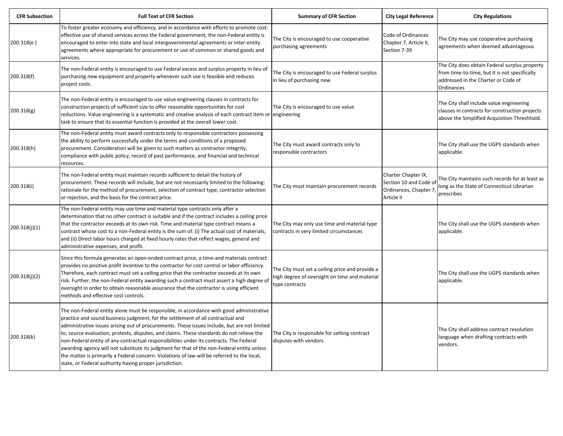| <b>CFR Subsection</b> | <b>Full Text of CFR Section</b>                                                                                                                                                                                                                                                                                                                                                                                                                                                                                                                                                                                                                                                                                             | <b>Summary of CFR Section</b>                                                                                      | <b>City Legal Reference</b>                                                          | <b>City Regulations</b>                                                                                                                             |
|-----------------------|-----------------------------------------------------------------------------------------------------------------------------------------------------------------------------------------------------------------------------------------------------------------------------------------------------------------------------------------------------------------------------------------------------------------------------------------------------------------------------------------------------------------------------------------------------------------------------------------------------------------------------------------------------------------------------------------------------------------------------|--------------------------------------------------------------------------------------------------------------------|--------------------------------------------------------------------------------------|-----------------------------------------------------------------------------------------------------------------------------------------------------|
| 200.318(e)            | To foster greater economy and efficiency, and in accordance with efforts to promote cost-<br>effective use of shared services across the Federal government, the non-Federal entity is<br>encouraged to enter into state and local intergovernmental agreements or inter-entity<br>agreements where appropriate for procurement or use of common or shared goods and<br>services.                                                                                                                                                                                                                                                                                                                                           | The City is encouraged to use cooperative<br>purchasing agreements                                                 | Code of Ordinances<br>Chapter 7, Article II,<br>Section 7-39                         | The City may use cooperative purchasing<br>agreements when deemed advantageous                                                                      |
| 200.318(f)            | The non-Federal entity is encouraged to use Federal excess and surplus property in lieu of<br>purchasing new equipment and property whenever such use is feasible and reduces<br>project costs.                                                                                                                                                                                                                                                                                                                                                                                                                                                                                                                             | The City is encouraged to use Federal surplus<br>in lieu of purchasing new                                         |                                                                                      | The City does obtain Federal surplus property<br>from time-to-time, but it is not specifically<br>addressed in the Charter or Code of<br>Ordinances |
| 200.318(g)            | The non-Federal entity is encouraged to use value engineering clauses in contracts for<br>construction projects of sufficient size to offer reasonable opportunities for cost<br>reductions. Value engineering is a systematic and creative analysis of each contract item or engineering<br>task to ensure that its essential function is provided at the overall lower cost.                                                                                                                                                                                                                                                                                                                                              | The City is encouraged to use value                                                                                |                                                                                      | The City shall include value engineering<br>clauses in contracts for construction projects<br>above the Simplified Acquisition Threshhold.          |
| 200.318(h)            | The non-Federal entity must award contracts only to responsible contractors possessing<br>the ability to perform successfully under the terms and conditions of a proposed<br>procurement. Consideration will be given to such matters as contractor integrity,<br>compliance with public policy, record of past performance, and financial and technical<br>resources.                                                                                                                                                                                                                                                                                                                                                     | The City must award contracts only to<br>responsible contractors                                                   |                                                                                      | The City shall use the UGPS standards when<br>applicable.                                                                                           |
| 200.318(i)            | The non-Federal entity must maintain records sufficient to detail the history of<br>procurement. These records will include, but are not necessarily limited to the following:<br>rationale for the method of procurement, selection of contract type, contractor selection<br>or rejection, and the basis for the contract price.                                                                                                                                                                                                                                                                                                                                                                                          | The City must maintain procurement records                                                                         | Charter Chapter IX,<br>Section 10 and Code of<br>Ordinances, Chapter 7<br>Article II | The City maintains such records for at least as<br>long as the State of Connecticut Librarian<br>prescribes                                         |
| 200.318(j)(1)         | The non-Federal entity may use time and material type contracts only after a<br>determination that no other contract is suitable and if the contract includes a ceiling price<br>that the contractor exceeds at its own risk. Time and material type contract means a<br>contract whose cost to a non-Federal entity is the sum of: (i) The actual cost of materials;<br>and (ii) Direct labor hours charged at fixed hourly rates that reflect wages, general and<br>administrative expenses, and profit.                                                                                                                                                                                                                  | The City may only use time and material type<br>contracts in very limited circumstances                            |                                                                                      | The City shall use the UGPS standards when<br>applicable.                                                                                           |
| 200.318(j)(2)         | Since this formula generates an open-ended contract price, a time-and materials contract<br>provides no positive profit incentive to the contractor for cost control or labor efficiency.<br>Therefore, each contract must set a ceiling price that the contractor exceeds at its own<br>risk. Further, the non-Federal entity awarding such a contract must assert a high degree of<br>oversight in order to obtain reasonable assurance that the contractor is using efficient<br>methods and effective cost controls.                                                                                                                                                                                                    | The City must set a ceiling price and provide a<br>high degree of oversight on time and material<br>type contracts |                                                                                      | The City shall use the UGPS standards when<br>applicable.                                                                                           |
| 200.318(k)            | The non-Federal entity alone must be responsible, in accordance with good administrative<br>practice and sound business judgment, for the settlement of all contractual and<br>administrative issues arising out of procurements. These issues include, but are not limited<br>to, source evaluation, protests, disputes, and claims. These standards do not relieve the<br>non-Federal entity of any contractual responsibilities under its contracts. The Federal<br>awarding agency will not substitute its judgment for that of the non-Federal entity unless<br>the matter is primarily a Federal concern. Violations of law will be referred to the local,<br>state, or Federal authority having proper jurisdiction. | The City is responsible for setting contract<br>disputes with vendors                                              |                                                                                      | The City shall address contract resolution<br>language when drafting contracts with<br>vendors.                                                     |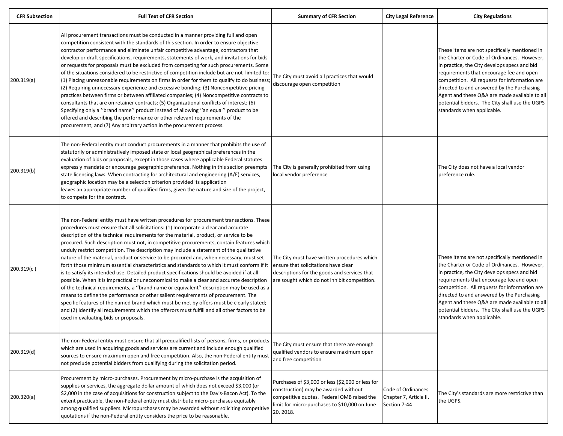| <b>CFR Subsection</b> | <b>Full Text of CFR Section</b>                                                                                                                                                                                                                                                                                                                                                                                                                                                                                                                                                                                                                                                                                                                                                                                                                                                                                                                                                                                                                                                                                                                                                                                                                                            | <b>Summary of CFR Section</b>                                                                                                                                                                         | <b>City Legal Reference</b>                                  | <b>City Regulations</b>                                                                                                                                                                                                                                                                                                                                                                                                  |
|-----------------------|----------------------------------------------------------------------------------------------------------------------------------------------------------------------------------------------------------------------------------------------------------------------------------------------------------------------------------------------------------------------------------------------------------------------------------------------------------------------------------------------------------------------------------------------------------------------------------------------------------------------------------------------------------------------------------------------------------------------------------------------------------------------------------------------------------------------------------------------------------------------------------------------------------------------------------------------------------------------------------------------------------------------------------------------------------------------------------------------------------------------------------------------------------------------------------------------------------------------------------------------------------------------------|-------------------------------------------------------------------------------------------------------------------------------------------------------------------------------------------------------|--------------------------------------------------------------|--------------------------------------------------------------------------------------------------------------------------------------------------------------------------------------------------------------------------------------------------------------------------------------------------------------------------------------------------------------------------------------------------------------------------|
| 200.319(a)            | All procurement transactions must be conducted in a manner providing full and open<br>competition consistent with the standards of this section. In order to ensure objective<br>contractor performance and eliminate unfair competitive advantage, contractors that<br>develop or draft specifications, requirements, statements of work, and invitations for bids<br>or requests for proposals must be excluded from competing for such procurements. Some<br>of the situations considered to be restrictive of competition include but are not limited to:<br>(1) Placing unreasonable requirements on firms in order for them to qualify to do business;<br>(2) Requiring unnecessary experience and excessive bonding; (3) Noncompetitive pricing<br>practices between firms or between affiliated companies; (4) Noncompetitive contracts to<br>consultants that are on retainer contracts; (5) Organizational conflicts of interest; (6)<br>Specifying only a "brand name" product instead of allowing "an equal" product to be<br>offered and describing the performance or other relevant requirements of the<br>procurement; and (7) Any arbitrary action in the procurement process.                                                                            | The City must avoid all practices that would<br>discourage open competition                                                                                                                           |                                                              | These items are not specifically mentioned in<br>the Charter or Code of Ordinances. However,<br>in practice, the City develops specs and bid<br>requirements that encourage fee and open<br>competition. All requests for information are<br>directed to and answered by the Purchasing<br>Agent and these Q&A are made available to all<br>potential bidders. The City shall use the UGPS<br>standards when applicable. |
| 200.319(b)            | The non-Federal entity must conduct procurements in a manner that prohibits the use of<br>statutorily or administratively imposed state or local geographical preferences in the<br>evaluation of bids or proposals, except in those cases where applicable Federal statutes<br>expressly mandate or encourage geographic preference. Nothing in this section preempts<br>state licensing laws. When contracting for architectural and engineering (A/E) services,<br>geographic location may be a selection criterion provided its application<br>leaves an appropriate number of qualified firms, given the nature and size of the project,<br>to compete for the contract.                                                                                                                                                                                                                                                                                                                                                                                                                                                                                                                                                                                              | The City is generally prohibited from using<br>local vendor preference                                                                                                                                |                                                              | The City does not have a local vendor<br>preference rule.                                                                                                                                                                                                                                                                                                                                                                |
| 200.319(c)            | The non-Federal entity must have written procedures for procurement transactions. These<br>procedures must ensure that all solicitations: (1) Incorporate a clear and accurate<br>description of the technical requirements for the material, product, or service to be<br>procured. Such description must not, in competitive procurements, contain features which<br>unduly restrict competition. The description may include a statement of the qualitative<br>nature of the material, product or service to be procured and, when necessary, must set<br>forth those minimum essential characteristics and standards to which it must conform if it<br>is to satisfy its intended use. Detailed product specifications should be avoided if at all<br>possible. When it is impractical or uneconomical to make a clear and accurate description<br>of the technical requirements, a "brand name or equivalent" description may be used as a<br>means to define the performance or other salient requirements of procurement. The<br>specific features of the named brand which must be met by offers must be clearly stated;<br>and (2) Identify all requirements which the offerors must fulfill and all other factors to be<br>used in evaluating bids or proposals. | The City must have written procedures which<br>ensure that solicitations have clear<br>descriptions for the goods and services that<br>are sought which do not inhibit competition.                   |                                                              | These items are not specifically mentioned in<br>the Charter or Code of Ordinances. However,<br>in practice, the City develops specs and bid<br>requirements that encourage fee and open<br>competition. All requests for information are<br>directed to and answered by the Purchasing<br>Agent and these Q&A are made available to all<br>potential bidders. The City shall use the UGPS<br>standards when applicable. |
| 200.319(d)            | The non-Federal entity must ensure that all prequalified lists of persons, firms, or products<br>which are used in acquiring goods and services are current and include enough qualified<br>sources to ensure maximum open and free competition. Also, the non-Federal entity must<br>not preclude potential bidders from qualifying during the solicitation period.                                                                                                                                                                                                                                                                                                                                                                                                                                                                                                                                                                                                                                                                                                                                                                                                                                                                                                       | The City must ensure that there are enough<br>qualified vendors to ensure maximum open<br>and free competition                                                                                        |                                                              |                                                                                                                                                                                                                                                                                                                                                                                                                          |
| 200.320(a)            | Procurement by micro-purchases. Procurement by micro-purchase is the acquisition of<br>supplies or services, the aggregate dollar amount of which does not exceed \$3,000 (or<br>\$2,000 in the case of acquisitions for construction subject to the Davis-Bacon Act). To the<br>extent practicable, the non-Federal entity must distribute micro-purchases equitably<br>among qualified suppliers. Micropurchases may be awarded without soliciting competitive<br>quotations if the non-Federal entity considers the price to be reasonable.                                                                                                                                                                                                                                                                                                                                                                                                                                                                                                                                                                                                                                                                                                                             | Purchases of \$3,000 or less (\$2,000 or less for<br>construction) may be awarded without<br>competitive quotes. Federal OMB raised the<br>limit for micro-purchases to \$10,000 on June<br>20, 2018. | Code of Ordinances<br>Chapter 7, Article II,<br>Section 7-44 | The City's standards are more restrictive than<br>the UGPS.                                                                                                                                                                                                                                                                                                                                                              |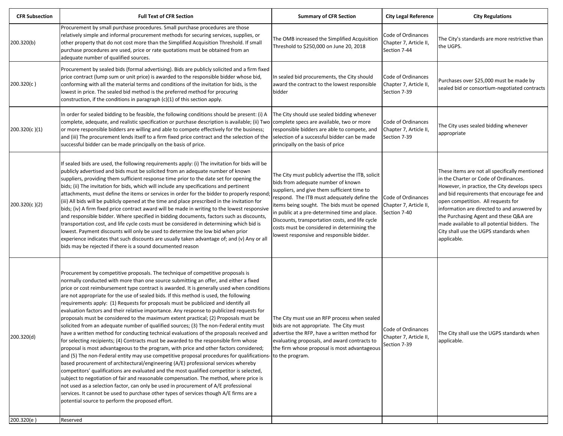| <b>CFR Subsection</b> | <b>Full Text of CFR Section</b>                                                                                                                                                                                                                                                                                                                                                                                                                                                                                                                                                                                                                                                                                                                                                                                                                                                                                                                                                                                                                                                                                                                                                                                                                                                                                                                                                                                                                                                                                                                                                                                                   | <b>Summary of CFR Section</b>                                                                                                                                                                                                                                                                                                                                                                                                       | <b>City Legal Reference</b>                                  | <b>City Regulations</b>                                                                                                                                                                                                                                                                                                                                                                                                         |
|-----------------------|-----------------------------------------------------------------------------------------------------------------------------------------------------------------------------------------------------------------------------------------------------------------------------------------------------------------------------------------------------------------------------------------------------------------------------------------------------------------------------------------------------------------------------------------------------------------------------------------------------------------------------------------------------------------------------------------------------------------------------------------------------------------------------------------------------------------------------------------------------------------------------------------------------------------------------------------------------------------------------------------------------------------------------------------------------------------------------------------------------------------------------------------------------------------------------------------------------------------------------------------------------------------------------------------------------------------------------------------------------------------------------------------------------------------------------------------------------------------------------------------------------------------------------------------------------------------------------------------------------------------------------------|-------------------------------------------------------------------------------------------------------------------------------------------------------------------------------------------------------------------------------------------------------------------------------------------------------------------------------------------------------------------------------------------------------------------------------------|--------------------------------------------------------------|---------------------------------------------------------------------------------------------------------------------------------------------------------------------------------------------------------------------------------------------------------------------------------------------------------------------------------------------------------------------------------------------------------------------------------|
| 200.320(b)            | Procurement by small purchase procedures. Small purchase procedures are those<br>relatively simple and informal procurement methods for securing services, supplies, or<br>other property that do not cost more than the Simplified Acquisition Threshold. If small<br>purchase procedures are used, price or rate quotations must be obtained from an<br>adequate number of qualified sources.                                                                                                                                                                                                                                                                                                                                                                                                                                                                                                                                                                                                                                                                                                                                                                                                                                                                                                                                                                                                                                                                                                                                                                                                                                   | The OMB increased the Simplified Acquisition<br>Threshold to \$250,000 on June 20, 2018                                                                                                                                                                                                                                                                                                                                             | Code of Ordinances<br>Chapter 7, Article II,<br>Section 7-44 | The City's standards are more restrictive than<br>the UGPS.                                                                                                                                                                                                                                                                                                                                                                     |
| 200.320(c)            | Procurement by sealed bids (formal advertising). Bids are publicly solicited and a firm fixed<br>price contract (lump sum or unit price) is awarded to the responsible bidder whose bid,<br>conforming with all the material terms and conditions of the invitation for bids, is the<br>lowest in price. The sealed bid method is the preferred method for procuring<br>construction, if the conditions in paragraph (c)(1) of this section apply.                                                                                                                                                                                                                                                                                                                                                                                                                                                                                                                                                                                                                                                                                                                                                                                                                                                                                                                                                                                                                                                                                                                                                                                | In sealed bid procurements, the City should<br>award the contract to the lowest responsible<br>bidder                                                                                                                                                                                                                                                                                                                               | Code of Ordinances<br>Chapter 7, Article II,<br>Section 7-39 | Purchases over \$25,000 must be made by<br>sealed bid or consortium-negotiated contracts                                                                                                                                                                                                                                                                                                                                        |
| 200.320(c)(1)         | In order for sealed bidding to be feasible, the following conditions should be present: (i) A<br>complete, adequate, and realistic specification or purchase description is available; (ii) Two<br>or more responsible bidders are willing and able to compete effectively for the business;<br>and (iii) The procurement lends itself to a firm fixed price contract and the selection of the<br>successful bidder can be made principally on the basis of price.                                                                                                                                                                                                                                                                                                                                                                                                                                                                                                                                                                                                                                                                                                                                                                                                                                                                                                                                                                                                                                                                                                                                                                | The City should use sealed bidding whenever<br>complete specs are available, two or more<br>responsible bidders are able to compete, and<br>selection of a successful bidder can be made<br>principally on the basis of price                                                                                                                                                                                                       | Code of Ordinances<br>Chapter 7, Article II,<br>Section 7-39 | The City uses sealed bidding whenever<br>appropriate                                                                                                                                                                                                                                                                                                                                                                            |
| 200.320(c)(2)         | If sealed bids are used, the following requirements apply: (i) The invitation for bids will be<br>publicly advertised and bids must be solicited from an adequate number of known<br>suppliers, providing them sufficient response time prior to the date set for opening the<br>bids; (ii) The invitation for bids, which will include any specifications and pertinent<br>attachments, must define the items or services in order for the bidder to properly respond;<br>(iii) All bids will be publicly opened at the time and place prescribed in the invitation for<br>bids; (iv) A firm fixed price contract award will be made in writing to the lowest responsive<br>and responsible bidder. Where specified in bidding documents, factors such as discounts,<br>transportation cost, and life cycle costs must be considered in determining which bid is<br>lowest. Payment discounts will only be used to determine the low bid when prior<br>experience indicates that such discounts are usually taken advantage of; and (v) Any or all<br>bids may be rejected if there is a sound documented reason                                                                                                                                                                                                                                                                                                                                                                                                                                                                                                                 | The City must publicly advertise the ITB, solicit<br>bids from adequate number of known<br>suppliers, and give them sufficient time to<br>respond. The ITB must adequately define the<br>tems being sought. The bids must be opened<br>in public at a pre-determined time and place.<br>Discounts, transportation costs, and life cycle<br>costs must be considered in determining the<br>lowest responsive and responsible bidder. | Code of Ordinances<br>Chapter 7, Article II,<br>Section 7-40 | These items are not all specifically mentioned<br>in the Charter or Code of Ordinances.<br>However, in practice, the City develops specs<br>and bid requirements that encourage fee and<br>open competition. All requests for<br>information are directed to and answered by<br>the Purchasing Agent and these Q&A are<br>made available to all potential bidders. The<br>City shall use the UGPS standards when<br>applicable. |
| 200.320(d)            | Procurement by competitive proposals. The technique of competitive proposals is<br>normally conducted with more than one source submitting an offer, and either a fixed<br>price or cost reimbursement type contract is awarded. It is generally used when conditions<br>are not appropriate for the use of sealed bids. If this method is used, the following<br>requirements apply: (1) Requests for proposals must be publicized and identify all<br>evaluation factors and their relative importance. Any response to publicized requests for<br>proposals must be considered to the maximum extent practical; (2) Proposals must be<br>solicited from an adequate number of qualified sources; (3) The non-Federal entity must<br>have a written method for conducting technical evaluations of the proposals received and<br>for selecting recipients; (4) Contracts must be awarded to the responsible firm whose<br>proposal is most advantageous to the program, with price and other factors considered;<br>and (5) The non-Federal entity may use competitive proposal procedures for qualifications-<br>based procurement of architectural/engineering (A/E) professional services whereby<br>competitors' qualifications are evaluated and the most qualified competitor is selected,<br>subject to negotiation of fair and reasonable compensation. The method, where price is<br>not used as a selection factor, can only be used in procurement of A/E professional<br>services. It cannot be used to purchase other types of services though A/E firms are a<br>potential source to perform the proposed effort. | The City must use an RFP process when sealed<br>bids are not appropriate. The City must<br>advertise the RFP, have a written method for<br>evaluating proposals, and award contracts to<br>the firm whose proposal is most advantageous<br>to the program.                                                                                                                                                                          | Code of Ordinances<br>Chapter 7, Article II,<br>Section 7-39 | The City shall use the UGPS standards when<br>applicable.                                                                                                                                                                                                                                                                                                                                                                       |
| 200.320(e)            | Reserved                                                                                                                                                                                                                                                                                                                                                                                                                                                                                                                                                                                                                                                                                                                                                                                                                                                                                                                                                                                                                                                                                                                                                                                                                                                                                                                                                                                                                                                                                                                                                                                                                          |                                                                                                                                                                                                                                                                                                                                                                                                                                     |                                                              |                                                                                                                                                                                                                                                                                                                                                                                                                                 |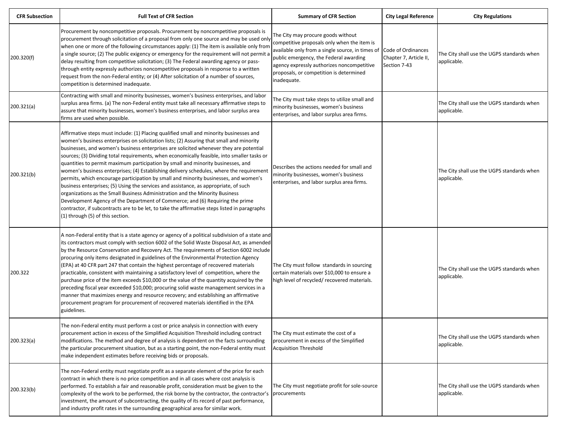| <b>CFR Subsection</b> | <b>Full Text of CFR Section</b>                                                                                                                                                                                                                                                                                                                                                                                                                                                                                                                                                                                                                                                                                                                                                                                                                                                                                                                                                                                                                    | <b>Summary of CFR Section</b>                                                                                                                                                                                                                                                           | <b>City Legal Reference</b>                                  | <b>City Regulations</b>                                   |
|-----------------------|----------------------------------------------------------------------------------------------------------------------------------------------------------------------------------------------------------------------------------------------------------------------------------------------------------------------------------------------------------------------------------------------------------------------------------------------------------------------------------------------------------------------------------------------------------------------------------------------------------------------------------------------------------------------------------------------------------------------------------------------------------------------------------------------------------------------------------------------------------------------------------------------------------------------------------------------------------------------------------------------------------------------------------------------------|-----------------------------------------------------------------------------------------------------------------------------------------------------------------------------------------------------------------------------------------------------------------------------------------|--------------------------------------------------------------|-----------------------------------------------------------|
| 200.320(f)            | Procurement by noncompetitive proposals. Procurement by noncompetitive proposals is<br>procurement through solicitation of a proposal from only one source and may be used only<br>when one or more of the following circumstances apply: (1) The item is available only from<br>a single source; (2) The public exigency or emergency for the requirement will not permit a<br>delay resulting from competitive solicitation; (3) The Federal awarding agency or pass-<br>through entity expressly authorizes noncompetitive proposals in response to a written<br>request from the non-Federal entity; or (4) After solicitation of a number of sources,<br>competition is determined inadequate.                                                                                                                                                                                                                                                                                                                                                | The City may procure goods without<br>competitive proposals only when the item is<br>available only from a single source, in times of<br>public emergency, the Federal awarding<br>agency expressly authorizes noncompetitive<br>proposals, or competition is determined<br>inadequate. | Code of Ordinances<br>Chapter 7, Article II,<br>Section 7-43 | The City shall use the UGPS standards when<br>applicable. |
| 200.321(a)            | Contracting with small and minority businesses, women's business enterprises, and labor<br>surplus area firms. (a) The non-Federal entity must take all necessary affirmative steps to<br>assure that minority businesses, women's business enterprises, and labor surplus area<br>firms are used when possible.                                                                                                                                                                                                                                                                                                                                                                                                                                                                                                                                                                                                                                                                                                                                   | The City must take steps to utilize small and<br>minority businesses, women's business<br>enterprises, and labor surplus area firms.                                                                                                                                                    |                                                              | The City shall use the UGPS standards when<br>applicable. |
| 200.321(b)            | Affirmative steps must include: (1) Placing qualified small and minority businesses and<br>women's business enterprises on solicitation lists; (2) Assuring that small and minority<br>businesses, and women's business enterprises are solicited whenever they are potential<br>sources; (3) Dividing total requirements, when economically feasible, into smaller tasks or<br>quantities to permit maximum participation by small and minority businesses, and<br>women's business enterprises; (4) Establishing delivery schedules, where the requirement<br>permits, which encourage participation by small and minority businesses, and women's<br>business enterprises; (5) Using the services and assistance, as appropriate, of such<br>organizations as the Small Business Administration and the Minority Business<br>Development Agency of the Department of Commerce; and (6) Requiring the prime<br>contractor, if subcontracts are to be let, to take the affirmative steps listed in paragraphs<br>(1) through (5) of this section. | Describes the actions needed for small and<br>minority businesses, women's business<br>enterprises, and labor surplus area firms.                                                                                                                                                       |                                                              | The City shall use the UGPS standards when<br>applicable. |
| 200.322               | A non-Federal entity that is a state agency or agency of a political subdivision of a state and<br>its contractors must comply with section 6002 of the Solid Waste Disposal Act, as amended<br>by the Resource Conservation and Recovery Act. The requirements of Section 6002 include<br>procuring only items designated in guidelines of the Environmental Protection Agency<br>(EPA) at 40 CFR part 247 that contain the highest percentage of recovered materials<br>practicable, consistent with maintaining a satisfactory level of competition, where the<br>purchase price of the item exceeds \$10,000 or the value of the quantity acquired by the<br>preceding fiscal year exceeded \$10,000; procuring solid waste management services in a<br>manner that maximizes energy and resource recovery; and establishing an affirmative<br>procurement program for procurement of recovered materials identified in the EPA<br>guidelines.                                                                                                 | The City must follow standards in sourcing<br>certain materials over \$10,000 to ensure a<br>high level of recycled/ recovered materials.                                                                                                                                               |                                                              | The City shall use the UGPS standards when<br>applicable. |
| 200.323(a)            | The non-Federal entity must perform a cost or price analysis in connection with every<br>procurement action in excess of the Simplified Acquisition Threshold including contract<br>modifications. The method and degree of analysis is dependent on the facts surrounding<br>the particular procurement situation, but as a starting point, the non-Federal entity must<br>make independent estimates before receiving bids or proposals.                                                                                                                                                                                                                                                                                                                                                                                                                                                                                                                                                                                                         | The City must estimate the cost of a<br>procurement in excess of the Simplified<br><b>Acquisition Threshold</b>                                                                                                                                                                         |                                                              | The City shall use the UGPS standards when<br>applicable. |
| 200.323(b)            | The non-Federal entity must negotiate profit as a separate element of the price for each<br>contract in which there is no price competition and in all cases where cost analysis is<br>performed. To establish a fair and reasonable profit, consideration must be given to the<br>complexity of the work to be performed, the risk borne by the contractor, the contractor's<br>investment, the amount of subcontracting, the quality of its record of past performance,<br>and industry profit rates in the surrounding geographical area for similar work.                                                                                                                                                                                                                                                                                                                                                                                                                                                                                      | The City must negotiate profit for sole-source<br>procurements                                                                                                                                                                                                                          |                                                              | The City shall use the UGPS standards when<br>applicable. |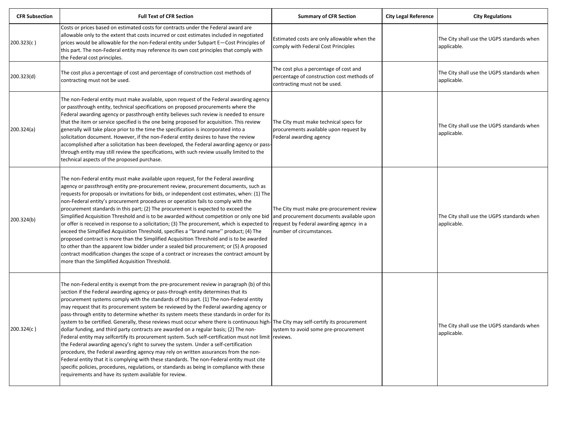| <b>CFR Subsection</b> | <b>Full Text of CFR Section</b>                                                                                                                                                                                                                                                                                                                                                                                                                                                                                                                                                                                                                                                                                                                                                                                                                                                                                                                                                                                                                                                                                                                                                                                                                  | <b>Summary of CFR Section</b>                                                                                                                                | <b>City Legal Reference</b> | <b>City Regulations</b>                                   |
|-----------------------|--------------------------------------------------------------------------------------------------------------------------------------------------------------------------------------------------------------------------------------------------------------------------------------------------------------------------------------------------------------------------------------------------------------------------------------------------------------------------------------------------------------------------------------------------------------------------------------------------------------------------------------------------------------------------------------------------------------------------------------------------------------------------------------------------------------------------------------------------------------------------------------------------------------------------------------------------------------------------------------------------------------------------------------------------------------------------------------------------------------------------------------------------------------------------------------------------------------------------------------------------|--------------------------------------------------------------------------------------------------------------------------------------------------------------|-----------------------------|-----------------------------------------------------------|
| 200.323(c)            | Costs or prices based on estimated costs for contracts under the Federal award are<br>allowable only to the extent that costs incurred or cost estimates included in negotiated<br>prices would be allowable for the non-Federal entity under Subpart E-Cost Principles of<br>this part. The non-Federal entity may reference its own cost principles that comply with<br>the Federal cost principles.                                                                                                                                                                                                                                                                                                                                                                                                                                                                                                                                                                                                                                                                                                                                                                                                                                           | Estimated costs are only allowable when the<br>comply with Federal Cost Principles                                                                           |                             | The City shall use the UGPS standards when<br>applicable. |
| 200.323(d)            | The cost plus a percentage of cost and percentage of construction cost methods of<br>contracting must not be used.                                                                                                                                                                                                                                                                                                                                                                                                                                                                                                                                                                                                                                                                                                                                                                                                                                                                                                                                                                                                                                                                                                                               | The cost plus a percentage of cost and<br>percentage of construction cost methods of<br>contracting must not be used.                                        |                             | The City shall use the UGPS standards when<br>applicable. |
| 200.324(a)            | The non-Federal entity must make available, upon request of the Federal awarding agency<br>or passthrough entity, technical specifications on proposed procurements where the<br>Federal awarding agency or passthrough entity believes such review is needed to ensure<br>that the item or service specified is the one being proposed for acquisition. This review<br>generally will take place prior to the time the specification is incorporated into a<br>solicitation document. However, if the non-Federal entity desires to have the review<br>accomplished after a solicitation has been developed, the Federal awarding agency or pass-<br>through entity may still review the specifications, with such review usually limited to the<br>technical aspects of the proposed purchase.                                                                                                                                                                                                                                                                                                                                                                                                                                                 | The City must make technical specs for<br>procurements available upon request by<br>Federal awarding agency                                                  |                             | The City shall use the UGPS standards when<br>applicable. |
| 200.324(b)            | The non-Federal entity must make available upon request, for the Federal awarding<br>agency or passthrough entity pre-procurement review, procurement documents, such as<br>requests for proposals or invitations for bids, or independent cost estimates, when: (1) The<br>non-Federal entity's procurement procedures or operation fails to comply with the<br>procurement standards in this part; (2) The procurement is expected to exceed the<br>Simplified Acquisition Threshold and is to be awarded without competition or only one bid<br>or offer is received in response to a solicitation; (3) The procurement, which is expected to<br>exceed the Simplified Acquisition Threshold, specifies a "brand name" product; (4) The<br>proposed contract is more than the Simplified Acquisition Threshold and is to be awarded<br>to other than the apparent low bidder under a sealed bid procurement; or (5) A proposed<br>contract modification changes the scope of a contract or increases the contract amount by<br>more than the Simplified Acquisition Threshold.                                                                                                                                                                | The City must make pre-procurement review<br>and procurement documents available upon<br>request by Federal awarding agency in a<br>number of circumstances. |                             | The City shall use the UGPS standards when<br>applicable. |
| 200.324(c)            | The non-Federal entity is exempt from the pre-procurement review in paragraph (b) of this<br>section if the Federal awarding agency or pass-through entity determines that its<br>procurement systems comply with the standards of this part. (1) The non-Federal entity<br>may request that its procurement system be reviewed by the Federal awarding agency or<br>pass-through entity to determine whether its system meets these standards in order for its<br>system to be certified. Generally, these reviews must occur where there is continuous high-The City may self-certify its procurement<br>dollar funding, and third party contracts are awarded on a regular basis; (2) The non-<br>Federal entity may selfcertify its procurement system. Such self-certification must not limit reviews.<br>the Federal awarding agency's right to survey the system. Under a self-certification<br>procedure, the Federal awarding agency may rely on written assurances from the non-<br>Federal entity that it is complying with these standards. The non-Federal entity must cite<br>specific policies, procedures, regulations, or standards as being in compliance with these<br>requirements and have its system available for review. | system to avoid some pre-procurement                                                                                                                         |                             | The City shall use the UGPS standards when<br>applicable. |